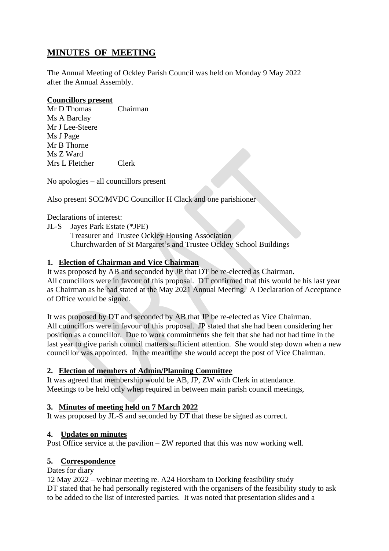# **MINUTES OF MEETING**

The Annual Meeting of Ockley Parish Council was held on Monday 9 May 2022 after the Annual Assembly.

#### **Councillors present**

Mr D Thomas Chairman Ms A Barclay Mr J Lee-Steere Ms J Page Mr B Thorne Ms Z Ward Mrs L Fletcher Clerk

No apologies – all councillors present

Also present SCC/MVDC Councillor H Clack and one parishioner

Declarations of interest:

JL-S Jayes Park Estate (\*JPE)

Treasurer and Trustee Ockley Housing Association Churchwarden of St Margaret's and Trustee Ockley School Buildings

### **1. Election of Chairman and Vice Chairman**

It was proposed by AB and seconded by JP that DT be re-elected as Chairman. All councillors were in favour of this proposal. DT confirmed that this would be his last year as Chairman as he had stated at the May 2021 Annual Meeting. A Declaration of Acceptance of Office would be signed.

It was proposed by DT and seconded by AB that JP be re-elected as Vice Chairman. All councillors were in favour of this proposal. JP stated that she had been considering her position as a councillor. Due to work commitments she felt that she had not had time in the last year to give parish council matters sufficient attention. She would step down when a new councillor was appointed. In the meantime she would accept the post of Vice Chairman.

### **2. Election of members of Admin/Planning Committee**

It was agreed that membership would be AB, JP, ZW with Clerk in attendance. Meetings to be held only when required in between main parish council meetings,

### **3. Minutes of meeting held on 7 March 2022**

It was proposed by JL-S and seconded by DT that these be signed as correct.

### **4. Updates on minutes**

Post Office service at the pavilion – ZW reported that this was now working well.

#### **5. Correspondence**

#### Dates for diary

12 May 2022 – webinar meeting re. A24 Horsham to Dorking feasibility study DT stated that he had personally registered with the organisers of the feasibility study to ask to be added to the list of interested parties. It was noted that presentation slides and a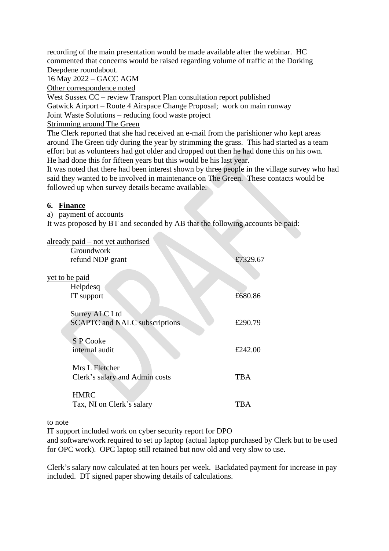recording of the main presentation would be made available after the webinar. HC commented that concerns would be raised regarding volume of traffic at the Dorking Deepdene roundabout.

16 May 2022 – GACC AGM

Other correspondence noted

West Sussex CC – review Transport Plan consultation report published Gatwick Airport – Route 4 Airspace Change Proposal; work on main runway Joint Waste Solutions – reducing food waste project

Strimming around The Green

The Clerk reported that she had received an e-mail from the parishioner who kept areas around The Green tidy during the year by strimming the grass. This had started as a team effort but as volunteers had got older and dropped out then he had done this on his own. He had done this for fifteen years but this would be his last year.

It was noted that there had been interest shown by three people in the village survey who had said they wanted to be involved in maintenance on The Green. These contacts would be followed up when survey details became available.

#### **6. Finance**

a) payment of accounts

It was proposed by BT and seconded by AB that the following accounts be paid:

**STATISTICS** 

| already paid – not yet authorised    |          |
|--------------------------------------|----------|
| Groundwork                           |          |
| refund NDP grant                     | £7329.67 |
|                                      |          |
| yet to be paid                       |          |
| Helpdesq                             |          |
| IT support                           | £680.86  |
|                                      |          |
| <b>Surrey ALC Ltd</b>                |          |
| <b>SCAPTC</b> and NALC subscriptions | £290.79  |
|                                      |          |
| S P Cooke                            |          |
|                                      |          |
| internal audit                       | £242.00  |
|                                      |          |
| Mrs L Fletcher                       |          |
| Clerk's salary and Admin costs       | TBA      |
|                                      |          |
| <b>HMRC</b>                          |          |
| Tax, NI on Clerk's salary            | TBA      |
|                                      |          |

to note

IT support included work on cyber security report for DPO

and software/work required to set up laptop (actual laptop purchased by Clerk but to be used for OPC work). OPC laptop still retained but now old and very slow to use.

Clerk's salary now calculated at ten hours per week. Backdated payment for increase in pay included. DT signed paper showing details of calculations.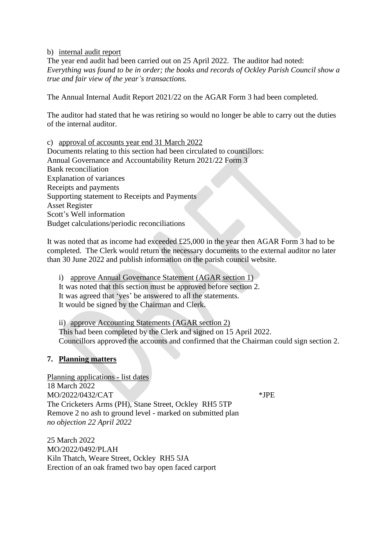b) internal audit report

The year end audit had been carried out on 25 April 2022. The auditor had noted: *Everything was found to be in order; the books and records of Ockley Parish Council show a true and fair view of the year's transactions.*

The Annual Internal Audit Report 2021/22 on the AGAR Form 3 had been completed.

The auditor had stated that he was retiring so would no longer be able to carry out the duties of the internal auditor.

c) approval of accounts year end 31 March 2022

Documents relating to this section had been circulated to councillors: Annual Governance and Accountability Return 2021/22 Form 3 Bank reconciliation Explanation of variances Receipts and payments Supporting statement to Receipts and Payments Asset Register Scott's Well information Budget calculations/periodic reconciliations

It was noted that as income had exceeded £25,000 in the year then AGAR Form 3 had to be completed. The Clerk would return the necessary documents to the external auditor no later than 30 June 2022 and publish information on the parish council website.

i) approve Annual Governance Statement (AGAR section 1) It was noted that this section must be approved before section 2. It was agreed that 'yes' be answered to all the statements. It would be signed by the Chairman and Clerk.

ii) approve Accounting Statements (AGAR section 2) This had been completed by the Clerk and signed on 15 April 2022. Councillors approved the accounts and confirmed that the Chairman could sign section 2.

#### **7. Planning matters**

Planning applications - list dates 18 March 2022  $MO/2022/0432/CAT$  \*JPE The Cricketers Arms (PH), Stane Street, Ockley RH5 5TP Remove 2 no ash to ground level - marked on submitted plan *no objection 22 April 2022*

25 March 2022 MO/2022/0492/PLAH Kiln Thatch, Weare Street, Ockley RH5 5JA Erection of an oak framed two bay open faced carport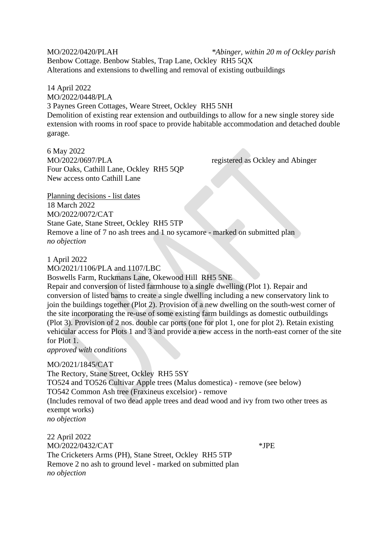MO/2022/0420/PLAH *\*Abinger, within 20 m of Ockley parish* Benbow Cottage. Benbow Stables, Trap Lane, Ockley RH5 5QX Alterations and extensions to dwelling and removal of existing outbuildings

14 April 2022 MO/2022/0448/PLA 3 Paynes Green Cottages, Weare Street, Ockley RH5 5NH Demolition of existing rear extension and outbuildings to allow for a new single storey side extension with rooms in roof space to provide habitable accommodation and detached double garage.

6 May 2022 MO/2022/0697/PLA registered as Ockley and Abinger Four Oaks, Cathill Lane, Ockley RH5 5QP New access onto Cathill Lane

Planning decisions - list dates 18 March 2022 MO/2022/0072/CAT Stane Gate, Stane Street, Ockley RH5 5TP Remove a line of 7 no ash trees and 1 no sycamore - marked on submitted plan *no objection*

1 April 2022

MO/2021/1106/PLA and 1107/LBC Boswells Farm, Ruckmans Lane, Okewood Hill RH5 5NE Repair and conversion of listed farmhouse to a single dwelling (Plot 1). Repair and conversion of listed barns to create a single dwelling including a new conservatory link to join the buildings together (Plot 2). Provision of a new dwelling on the south-west corner of the site incorporating the re-use of some existing farm buildings as domestic outbuildings (Plot 3). Provision of 2 nos. double car ports (one for plot 1, one for plot 2). Retain existing vehicular access for Plots 1 and 3 and provide a new access in the north-east corner of the site for Plot 1. *approved with conditions*

MO/2021/1845/CAT The Rectory, Stane Street, Ockley RH5 5SY TO524 and TO526 Cultivar Apple trees (Malus domestica) - remove (see below) TO542 Common Ash tree (Fraxineus excelsior) - remove (Includes removal of two dead apple trees and dead wood and ivy from two other trees as exempt works) *no objection*

22 April 2022 MO/2022/0432/CAT \*JPE The Cricketers Arms (PH), Stane Street, Ockley RH5 5TP Remove 2 no ash to ground level - marked on submitted plan *no objection*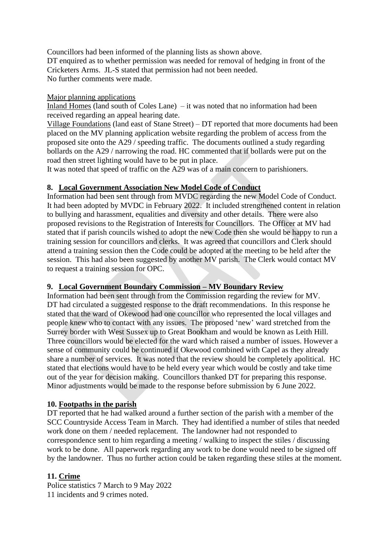Councillors had been informed of the planning lists as shown above. DT enquired as to whether permission was needed for removal of hedging in front of the Cricketers Arms. JL-S stated that permission had not been needed. No further comments were made.

#### Major planning applications

Inland Homes (land south of Coles Lane) – it was noted that no information had been received regarding an appeal hearing date.

Village Foundations (land east of Stane Street) – DT reported that more documents had been placed on the MV planning application website regarding the problem of access from the proposed site onto the A29 / speeding traffic. The documents outlined a study regarding bollards on the A29 / narrowing the road. HC commented that if bollards were put on the road then street lighting would have to be put in place.

It was noted that speed of traffic on the A29 was of a main concern to parishioners.

### **8. Local Government Association New Model Code of Conduct**

Information had been sent through from MVDC regarding the new Model Code of Conduct. It had been adopted by MVDC in February 2022. It included strengthened content in relation to bullying and harassment, equalities and diversity and other details. There were also proposed revisions to the Registration of Interests for Councillors. The Officer at MV had stated that if parish councils wished to adopt the new Code then she would be happy to run a training session for councillors and clerks. It was agreed that councillors and Clerk should attend a training session then the Code could be adopted at the meeting to be held after the session. This had also been suggested by another MV parish. The Clerk would contact MV to request a training session for OPC.

### **9. Local Government Boundary Commission – MV Boundary Review**

Information had been sent through from the Commission regarding the review for MV. DT had circulated a suggested response to the draft recommendations. In this response he stated that the ward of Okewood had one councillor who represented the local villages and people knew who to contact with any issues. The proposed 'new' ward stretched from the Surrey border with West Sussex up to Great Bookham and would be known as Leith Hill. Three councillors would be elected for the ward which raised a number of issues. However a sense of community could be continued if Okewood combined with Capel as they already share a number of services. It was noted that the review should be completely apolitical. HC stated that elections would have to be held every year which would be costly and take time out of the year for decision making. Councillors thanked DT for preparing this response. Minor adjustments would be made to the response before submission by 6 June 2022.

### **10. Footpaths in the parish**

DT reported that he had walked around a further section of the parish with a member of the SCC Countryside Access Team in March. They had identified a number of stiles that needed work done on them / needed replacement. The landowner had not responded to correspondence sent to him regarding a meeting / walking to inspect the stiles / discussing work to be done. All paperwork regarding any work to be done would need to be signed off by the landowner. Thus no further action could be taken regarding these stiles at the moment.

### **11. Crime**

Police statistics 7 March to 9 May 2022 11 incidents and 9 crimes noted.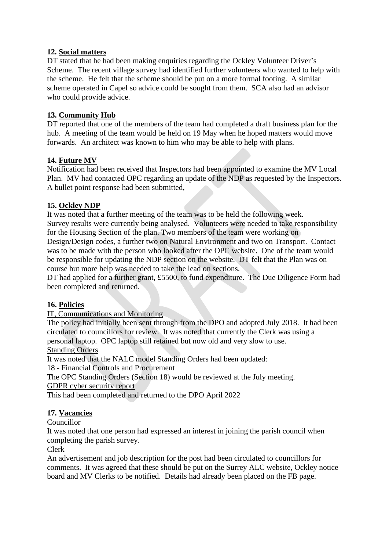### **12. Social matters**

DT stated that he had been making enquiries regarding the Ockley Volunteer Driver's Scheme. The recent village survey had identified further volunteers who wanted to help with the scheme. He felt that the scheme should be put on a more formal footing. A similar scheme operated in Capel so advice could be sought from them. SCA also had an advisor who could provide advice.

# **13. Community Hub**

DT reported that one of the members of the team had completed a draft business plan for the hub. A meeting of the team would be held on 19 May when he hoped matters would move forwards. An architect was known to him who may be able to help with plans.

### **14. Future MV**

Notification had been received that Inspectors had been appointed to examine the MV Local Plan. MV had contacted OPC regarding an update of the NDP as requested by the Inspectors. A bullet point response had been submitted,

### **15. Ockley NDP**

It was noted that a further meeting of the team was to be held the following week. Survey results were currently being analysed. Volunteers were needed to take responsibility for the Housing Section of the plan. Two members of the team were working on Design/Design codes, a further two on Natural Environment and two on Transport. Contact was to be made with the person who looked after the OPC website. One of the team would be responsible for updating the NDP section on the website. DT felt that the Plan was on

course but more help was needed to take the lead on sections.

DT had applied for a further grant, £5500, to fund expenditure. The Due Diligence Form had been completed and returned.

### **16. Policies**

### IT, Communications and Monitoring

The policy had initially been sent through from the DPO and adopted July 2018. It had been circulated to councillors for review. It was noted that currently the Clerk was using a personal laptop. OPC laptop still retained but now old and very slow to use. Standing Orders

# It was noted that the NALC model Standing Orders had been updated:

18 - Financial Controls and Procurement

The OPC Standing Orders (Section 18) would be reviewed at the July meeting. GDPR cyber security report

This had been completed and returned to the DPO April 2022

# **17. Vacancies**

### Councillor

It was noted that one person had expressed an interest in joining the parish council when completing the parish survey.

#### Clerk

An advertisement and job description for the post had been circulated to councillors for comments. It was agreed that these should be put on the Surrey ALC website, Ockley notice board and MV Clerks to be notified. Details had already been placed on the FB page.